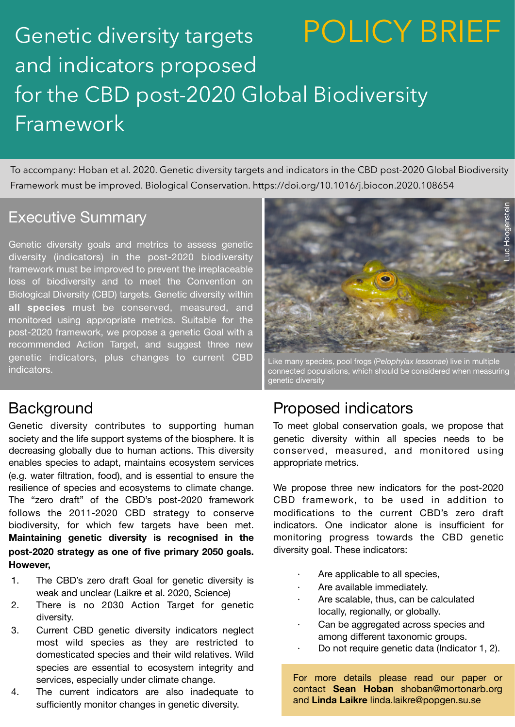## Genetic diversity targets and indicators proposed for the CBD post-2020 Global Biodiversity **Framework** POLICY BRIEF

To accompany: [Hoban et al. 2020. Genetic diversity targets and indicators in the CBD post-2020 Global Biodiversity](https://www.sciencedirect.com/science/article/pii/S0006320720307126?via=ihub)  [Framework must be improved. Biological Conservation. https://doi.org/10.1016/j.biocon.2020.108654](https://www.sciencedirect.com/science/article/pii/S0006320720307126?via=ihub)

### Executive Summary

Genetic diversity goals and metrics to assess genetic diversity (indicators) in the post-2020 biodiversity framework must be improved to prevent the irreplaceable loss of biodiversity and to meet the Convention on Biological Diversity (CBD) targets. Genetic diversity within **all species** must be conserved, measured, and monitored using appropriate metrics. Suitable for the post-2020 framework, we propose a genetic Goal with a recommended Action Target, and suggest three new genetic indicators, plus changes to current CBD indicators.

### **Background**

Genetic diversity contributes to supporting human society and the life support systems of the biosphere. It is decreasing globally due to human actions. This diversity enables species to adapt, maintains ecosystem services (e.g. water filtration, food), and is essential to ensure the resilience of species and ecosystems to climate change. The "zero draft" of the CBD's post-2020 framework follows the 2011-2020 CBD strategy to conserve biodiversity, for which few targets have been met. **Maintaining genetic diversity is recognised in the post-2020 strategy as one of five primary 2050 goals. However,**

- 1. The CBD's zero draft Goal for genetic diversity is weak and unclear [\(Laikre et al. 2020, Science\)](https://science.sciencemag.org/content/367/6482/1083.2)
- 2. There is no 2030 Action Target for genetic diversity.
- 3. Current CBD genetic diversity indicators neglect most wild species as they are restricted to domesticated species and their wild relatives. Wild species are essential to ecosystem integrity and services, especially under climate change.
- 4. The current indicators are also inadequate to sufficiently monitor changes in genetic diversity.



Like many species, pool frogs (P*elophylax lessonae*) live in multiple connected populations, which should be considered when measuring genetic diversity

### Proposed indicators

To meet global conservation goals, we propose that genetic diversity within all species needs to be conserved, measured, and monitored using appropriate metrics.

We propose three new indicators for the post-2020 CBD framework, to be used in addition to modifications to the current CBD's zero draft indicators. One indicator alone is insufficient for monitoring progress towards the CBD genetic diversity goal. These indicators:

- Are applicable to all species,
- Are available immediately.
- Are scalable, thus, can be calculated locally, regionally, or globally.
- Can be aggregated across species and among different taxonomic groups.
	- Do not require genetic data (Indicator 1, 2).

For more details please read our paper or contact **Sean Hoban** shoban@mortonarb.org and **Linda Laikre** linda.laikre@popgen.su.se